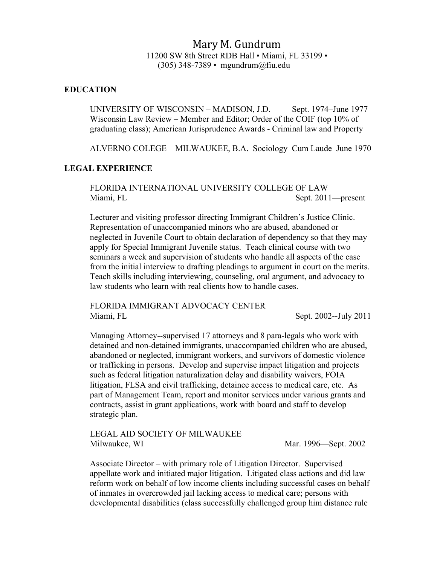# Mary M. Gundrum 11200 SW 8th Street RDB Hall • Miami, FL 33199 • (305) 348-7389 • mgundrum@fiu.edu

#### **EDUCATION**

UNIVERSITY OF WISCONSIN – MADISON, J.D. Sept. 1974–June 1977 Wisconsin Law Review – Member and Editor; Order of the COIF (top 10% of graduating class); American Jurisprudence Awards - Criminal law and Property

ALVERNO COLEGE – MILWAUKEE, B.A.–Sociology–Cum Laude–June 1970

### **LEGAL EXPERIENCE**

FLORIDA INTERNATIONAL UNIVERSITY COLLEGE OF LAW Miami, FL Sept. 2011—present

Lecturer and visiting professor directing Immigrant Children's Justice Clinic. Representation of unaccompanied minors who are abused, abandoned or neglected in Juvenile Court to obtain declaration of dependency so that they may apply for Special Immigrant Juvenile status. Teach clinical course with two seminars a week and supervision of students who handle all aspects of the case from the initial interview to drafting pleadings to argument in court on the merits. Teach skills including interviewing, counseling, oral argument, and advocacy to law students who learn with real clients how to handle cases.

FLORIDA IMMIGRANT ADVOCACY CENTER Miami, FL Sept. 2002--July 2011

Managing Attorney--supervised 17 attorneys and 8 para-legals who work with detained and non-detained immigrants, unaccompanied children who are abused, abandoned or neglected, immigrant workers, and survivors of domestic violence or trafficking in persons. Develop and supervise impact litigation and projects such as federal litigation naturalization delay and disability waivers, FOIA litigation, FLSA and civil trafficking, detainee access to medical care, etc. As part of Management Team, report and monitor services under various grants and contracts, assist in grant applications, work with board and staff to develop strategic plan.

LEGAL AID SOCIETY OF MILWAUKEE Milwaukee, WI Mar. 1996—Sept. 2002

Associate Director – with primary role of Litigation Director. Supervised appellate work and initiated major litigation. Litigated class actions and did law reform work on behalf of low income clients including successful cases on behalf of inmates in overcrowded jail lacking access to medical care; persons with developmental disabilities (class successfully challenged group him distance rule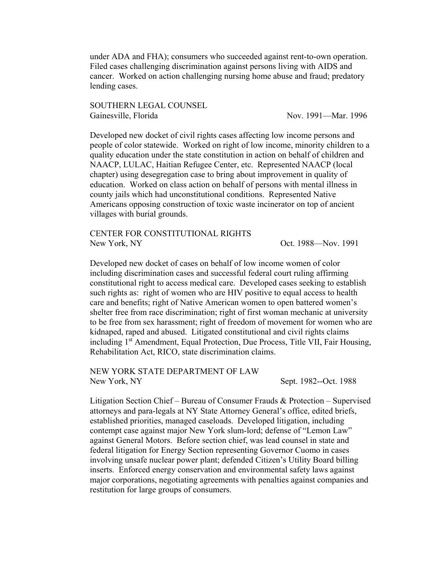under ADA and FHA); consumers who succeeded against rent-to-own operation. Filed cases challenging discrimination against persons living with AIDS and cancer. Worked on action challenging nursing home abuse and fraud; predatory lending cases.

SOUTHERN LEGAL COUNSEL Gainesville, Florida 1996

Developed new docket of civil rights cases affecting low income persons and people of color statewide. Worked on right of low income, minority children to a quality education under the state constitution in action on behalf of children and NAACP, LULAC, Haitian Refugee Center, etc. Represented NAACP (local chapter) using desegregation case to bring about improvement in quality of education. Worked on class action on behalf of persons with mental illness in county jails which had unconstitutional conditions. Represented Native Americans opposing construction of toxic waste incinerator on top of ancient villages with burial grounds.

CENTER FOR CONSTITUTIONAL RIGHTS New York, NY Cott and New York, NY Cott and New York, NY

Developed new docket of cases on behalf of low income women of color including discrimination cases and successful federal court ruling affirming constitutional right to access medical care. Developed cases seeking to establish such rights as: right of women who are HIV positive to equal access to health care and benefits; right of Native American women to open battered women's shelter free from race discrimination; right of first woman mechanic at university to be free from sex harassment; right of freedom of movement for women who are kidnaped, raped and abused. Litigated constitutional and civil rights claims including 1<sup>st</sup> Amendment, Equal Protection, Due Process, Title VII, Fair Housing, Rehabilitation Act, RICO, state discrimination claims.

NEW YORK STATE DEPARTMENT OF LAW New York, NY Sept. 1982--Oct. 1988

Litigation Section Chief – Bureau of Consumer Frauds & Protection – Supervised attorneys and para-legals at NY State Attorney General's office, edited briefs, established priorities, managed caseloads. Developed litigation, including contempt case against major New York slum-lord; defense of "Lemon Law" against General Motors. Before section chief, was lead counsel in state and federal litigation for Energy Section representing Governor Cuomo in cases involving unsafe nuclear power plant; defended Citizen's Utility Board billing inserts. Enforced energy conservation and environmental safety laws against major corporations, negotiating agreements with penalties against companies and restitution for large groups of consumers.